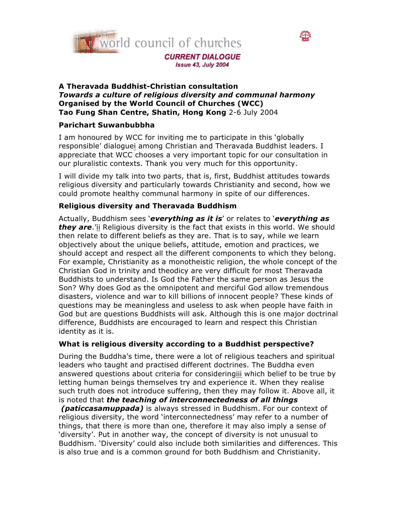



#### **A Theravada Buddhist-Christian consultation** *Towards a culture of religious diversity and communal harmony* **Organised by the World Council of Churches (WCC) Tao Fung Shan Centre, Shatin, Hong Kong** 2-6 July 2004

# **Parichart Suwanbubbha**

I am honoured by WCC for inviting me to participate in this 'globally responsible' dialoguei among Christian and Theravada Buddhist leaders. I appreciate that WCC chooses a very important topic for our consultation in our pluralistic contexts. Thank you very much for this opportunity.

I will divide my talk into two parts, that is, first, Buddhist attitudes towards religious diversity and particularly towards Christianity and second, how we could promote healthy communal harmony in spite of our differences.

# **Religious diversity and Theravada Buddhism**

Actually, Buddhism sees '*everything as it is*' or relates to '*everything as they are*.'ii Religious diversity is the fact that exists in this world. We should then relate to different beliefs as they are. That is to say, while we learn objectively about the unique beliefs, attitude, emotion and practices, we should accept and respect all the different components to which they belong. For example, Christianity as a monotheistic religion, the whole concept of the Christian God in trinity and theodicy are very difficult for most Theravada Buddhists to understand. Is God the Father the same person as Jesus the Son? Why does God as the omnipotent and merciful God allow tremendous disasters, violence and war to kill billions of innocent people? These kinds of questions may be meaningless and useless to ask when people have faith in God but are questions Buddhists will ask. Although this is one major doctrinal difference, Buddhists are encouraged to learn and respect this Christian identity as it is.

# **What is religious diversity according to a Buddhist perspective?**

During the Buddha's time, there were a lot of religious teachers and spiritual leaders who taught and practised different doctrines. The Buddha even answered questions about criteria for consideringiii which belief to be true by letting human beings themselves try and experience it. When they realise such truth does not introduce suffering, then they may follow it. Above all, it is noted that *the teaching of interconnectedness of all things* 

*(paticcasamuppada)* is always stressed in Buddhism. For our context of religious diversity, the word 'interconnectedness' may refer to a number of things, that there is more than one, therefore it may also imply a sense of 'diversity'. Put in another way, the concept of diversity is not unusual to Buddhism. 'Diversity' could also include both similarities and differences. This is also true and is a common ground for both Buddhism and Christianity.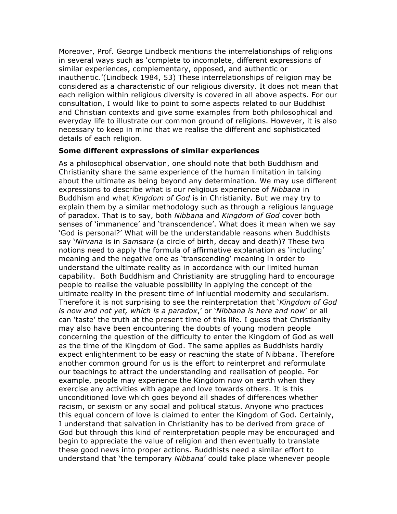Moreover, Prof. George Lindbeck mentions the interrelationships of religions in several ways such as 'complete to incomplete, different expressions of similar experiences, complementary, opposed, and authentic or inauthentic.'(Lindbeck 1984, 53) These interrelationships of religion may be considered as a characteristic of our religious diversity. It does not mean that each religion within religious diversity is covered in all above aspects. For our consultation, I would like to point to some aspects related to our Buddhist and Christian contexts and give some examples from both philosophical and everyday life to illustrate our common ground of religions. However, it is also necessary to keep in mind that we realise the different and sophisticated details of each religion.

#### **Some different expressions of similar experiences**

As a philosophical observation, one should note that both Buddhism and Christianity share the same experience of the human limitation in talking about the ultimate as being beyond any determination. We may use different expressions to describe what is our religious experience of *Nibbana* in Buddhism and what *Kingdom of God* is in Christianity. But we may try to explain them by a similar methodology such as through a religious language of paradox. That is to say, both *Nibbana* and *Kingdom of God* cover both senses of 'immanence' and 'transcendence'. What does it mean when we say 'God is personal?' What will be the understandable reasons when Buddhists say '*Nirvana* is in *Samsara* (a circle of birth, decay and death)? These two notions need to apply the formula of affirmative explanation as 'including' meaning and the negative one as 'transcending' meaning in order to understand the ultimate reality as in accordance with our limited human capability. Both Buddhism and Christianity are struggling hard to encourage people to realise the valuable possibility in applying the concept of the ultimate reality in the present time of influential modernity and secularism. Therefore it is not surprising to see the reinterpretation that '*Kingdom of God is now and not yet, which is a paradox*,' or '*Nibbana is here and now*' or all can 'taste' the truth at the present time of this life. I guess that Christianity may also have been encountering the doubts of young modern people concerning the question of the difficulty to enter the Kingdom of God as well as the time of the Kingdom of God. The same applies as Buddhists hardly expect enlightenment to be easy or reaching the state of Nibbana. Therefore another common ground for us is the effort to reinterpret and reformulate our teachings to attract the understanding and realisation of people. For example, people may experience the Kingdom now on earth when they exercise any activities with agape and love towards others. It is this unconditioned love which goes beyond all shades of differences whether racism, or sexism or any social and political status. Anyone who practices this equal concern of love is claimed to enter the Kingdom of God. Certainly, I understand that salvation in Christianity has to be derived from grace of God but through this kind of reinterpretation people may be encouraged and begin to appreciate the value of religion and then eventually to translate these good news into proper actions. Buddhists need a similar effort to understand that 'the temporary *Nibbana*' could take place whenever people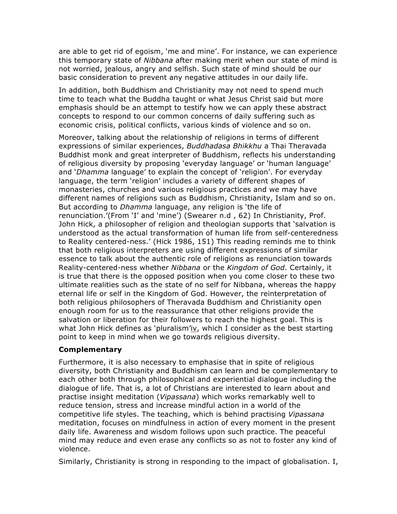are able to get rid of egoism, 'me and mine'. For instance, we can experience this temporary state of *Nibbana* after making merit when our state of mind is not worried, jealous, angry and selfish. Such state of mind should be our basic consideration to prevent any negative attitudes in our daily life.

In addition, both Buddhism and Christianity may not need to spend much time to teach what the Buddha taught or what Jesus Christ said but more emphasis should be an attempt to testify how we can apply these abstract concepts to respond to our common concerns of daily suffering such as economic crisis, political conflicts, various kinds of violence and so on.

Moreover, talking about the relationship of religions in terms of different expressions of similar experiences, *Buddhadasa Bhikkhu* a Thai Theravada Buddhist monk and great interpreter of Buddhism, reflects his understanding of religious diversity by proposing 'everyday language' or 'human language' and '*Dhamma* language' to explain the concept of 'religion'. For everyday language, the term 'religion' includes a variety of different shapes of monasteries, churches and various religious practices and we may have different names of religions such as Buddhism, Christianity, Islam and so on. But according to *Dhamma* language, any religion is 'the life of renunciation.'(From 'I' and 'mine') (Swearer n.d , 62) In Christianity, Prof. John Hick, a philosopher of religion and theologian supports that 'salvation is understood as the actual transformation of human life from self-centeredness to Reality centered-ness.' (Hick 1986, 151) This reading reminds me to think that both religious interpreters are using different expressions of similar essence to talk about the authentic role of religions as renunciation towards Reality-centered-ness whether *Nibbana* or the *Kingdom of God*. Certainly, it is true that there is the opposed position when you come closer to these two ultimate realities such as the state of no self for Nibbana, whereas the happy eternal life or self in the Kingdom of God. However, the reinterpretation of both religious philosophers of Theravada Buddhism and Christianity open enough room for us to the reassurance that other religions provide the salvation or liberation for their followers to reach the highest goal. This is what John Hick defines as 'pluralism'iv, which I consider as the best starting point to keep in mind when we go towards religious diversity.

#### **Complementary**

Furthermore, it is also necessary to emphasise that in spite of religious diversity, both Christianity and Buddhism can learn and be complementary to each other both through philosophical and experiential dialogue including the dialogue of life. That is, a lot of Christians are interested to learn about and practise insight meditation (*Vipassana*) which works remarkably well to reduce tension, stress and increase mindful action in a world of the competitive life styles. The teaching, which is behind practising *Vipassana* meditation, focuses on mindfulness in action of every moment in the present daily life. Awareness and wisdom follows upon such practice. The peaceful mind may reduce and even erase any conflicts so as not to foster any kind of violence.

Similarly, Christianity is strong in responding to the impact of globalisation. I,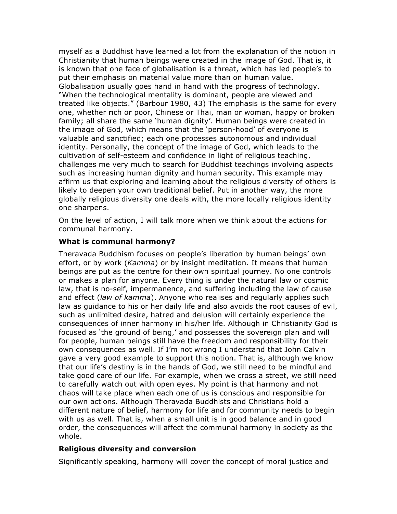myself as a Buddhist have learned a lot from the explanation of the notion in Christianity that human beings were created in the image of God. That is, it is known that one face of globalisation is a threat, which has led people's to put their emphasis on material value more than on human value. Globalisation usually goes hand in hand with the progress of technology. "When the technological mentality is dominant, people are viewed and treated like objects." (Barbour 1980, 43) The emphasis is the same for every one, whether rich or poor, Chinese or Thai, man or woman, happy or broken family; all share the same 'human dignity'. Human beings were created in the image of God, which means that the 'person-hood' of everyone is valuable and sanctified; each one processes autonomous and individual identity. Personally, the concept of the image of God, which leads to the cultivation of self-esteem and confidence in light of religious teaching, challenges me very much to search for Buddhist teachings involving aspects such as increasing human dignity and human security. This example may affirm us that exploring and learning about the religious diversity of others is likely to deepen your own traditional belief. Put in another way, the more globally religious diversity one deals with, the more locally religious identity one sharpens.

On the level of action, I will talk more when we think about the actions for communal harmony.

## **What is communal harmony?**

Theravada Buddhism focuses on people's liberation by human beings' own effort, or by work (*Kamma*) or by insight meditation. It means that human beings are put as the centre for their own spiritual journey. No one controls or makes a plan for anyone. Every thing is under the natural law or cosmic law, that is no-self, impermanence, and suffering including the law of cause and effect (*law of kamma*). Anyone who realises and regularly applies such law as guidance to his or her daily life and also avoids the root causes of evil, such as unlimited desire, hatred and delusion will certainly experience the consequences of inner harmony in his/her life. Although in Christianity God is focused as 'the ground of being,' and possesses the sovereign plan and will for people, human beings still have the freedom and responsibility for their own consequences as well. If I'm not wrong I understand that John Calvin gave a very good example to support this notion. That is, although we know that our life's destiny is in the hands of God, we still need to be mindful and take good care of our life. For example, when we cross a street, we still need to carefully watch out with open eyes. My point is that harmony and not chaos will take place when each one of us is conscious and responsible for our own actions. Although Theravada Buddhists and Christians hold a different nature of belief, harmony for life and for community needs to begin with us as well. That is, when a small unit is in good balance and in good order, the consequences will affect the communal harmony in society as the whole.

# **Religious diversity and conversion**

Significantly speaking, harmony will cover the concept of moral justice and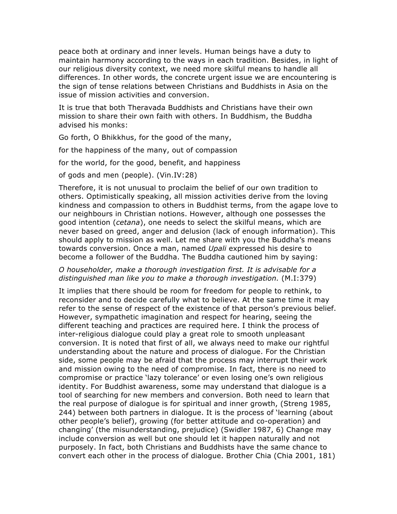peace both at ordinary and inner levels. Human beings have a duty to maintain harmony according to the ways in each tradition. Besides, in light of our religious diversity context, we need more skilful means to handle all differences. In other words, the concrete urgent issue we are encountering is the sign of tense relations between Christians and Buddhists in Asia on the issue of mission activities and conversion.

It is true that both Theravada Buddhists and Christians have their own mission to share their own faith with others. In Buddhism, the Buddha advised his monks:

Go forth, O Bhikkhus, for the good of the many,

for the happiness of the many, out of compassion

for the world, for the good, benefit, and happiness

of gods and men (people). (Vin.IV:28)

Therefore, it is not unusual to proclaim the belief of our own tradition to others. Optimistically speaking, all mission activities derive from the loving kindness and compassion to others in Buddhist terms, from the agape love to our neighbours in Christian notions. However, although one possesses the good intention (*cetana*), one needs to select the skilful means, which are never based on greed, anger and delusion (lack of enough information). This should apply to mission as well. Let me share with you the Buddha's means towards conversion. Once a man, named *Upali* expressed his desire to become a follower of the Buddha. The Buddha cautioned him by saying:

## *O householder, make a thorough investigation first. It is advisable for a distinguished man like you to make a thorough investigation.* (M.I:379)

It implies that there should be room for freedom for people to rethink, to reconsider and to decide carefully what to believe. At the same time it may refer to the sense of respect of the existence of that person's previous belief. However, sympathetic imagination and respect for hearing, seeing the different teaching and practices are required here. I think the process of inter-religious dialogue could play a great role to smooth unpleasant conversion. It is noted that first of all, we always need to make our rightful understanding about the nature and process of dialogue. For the Christian side, some people may be afraid that the process may interrupt their work and mission owing to the need of compromise. In fact, there is no need to compromise or practice 'lazy tolerance' or even losing one's own religious identity. For Buddhist awareness, some may understand that dialogue is a tool of searching for new members and conversion. Both need to learn that the real purpose of dialogue is for spiritual and inner growth, (Streng 1985, 244) between both partners in dialogue. It is the process of 'learning (about other people's belief), growing (for better attitude and co-operation) and changing' (the misunderstanding, prejudice) (Swidler 1987, 6) Change may include conversion as well but one should let it happen naturally and not purposely. In fact, both Christians and Buddhists have the same chance to convert each other in the process of dialogue. Brother Chia (Chia 2001, 181)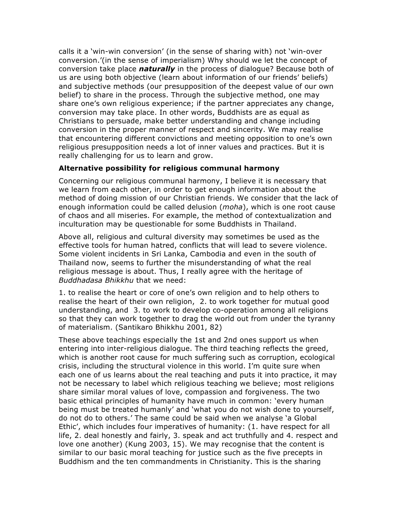calls it a 'win-win conversion' (in the sense of sharing with) not 'win-over conversion.'(in the sense of imperialism) Why should we let the concept of conversion take place *naturally* in the process of dialogue? Because both of us are using both objective (learn about information of our friends' beliefs) and subjective methods (our presupposition of the deepest value of our own belief) to share in the process. Through the subjective method, one may share one's own religious experience; if the partner appreciates any change, conversion may take place. In other words, Buddhists are as equal as Christians to persuade, make better understanding and change including conversion in the proper manner of respect and sincerity. We may realise that encountering different convictions and meeting opposition to one's own religious presupposition needs a lot of inner values and practices. But it is really challenging for us to learn and grow.

#### **Alternative possibility for religious communal harmony**

Concerning our religious communal harmony, I believe it is necessary that we learn from each other, in order to get enough information about the method of doing mission of our Christian friends. We consider that the lack of enough information could be called delusion (*moha*), which is one root cause of chaos and all miseries. For example, the method of contextualization and inculturation may be questionable for some Buddhists in Thailand.

Above all, religious and cultural diversity may sometimes be used as the effective tools for human hatred, conflicts that will lead to severe violence. Some violent incidents in Sri Lanka, Cambodia and even in the south of Thailand now, seems to further the misunderstanding of what the real religious message is about. Thus, I really agree with the heritage of *Buddhadasa Bhikkhu* that we need:

1. to realise the heart or core of one's own religion and to help others to realise the heart of their own religion, 2. to work together for mutual good understanding, and 3. to work to develop co-operation among all religions so that they can work together to drag the world out from under the tyranny of materialism. (Santikaro Bhikkhu 2001, 82)

These above teachings especially the 1st and 2nd ones support us when entering into inter-religious dialogue. The third teaching reflects the greed, which is another root cause for much suffering such as corruption, ecological crisis, including the structural violence in this world. I'm quite sure when each one of us learns about the real teaching and puts it into practice, it may not be necessary to label which religious teaching we believe; most religions share similar moral values of love, compassion and forgiveness. The two basic ethical principles of humanity have much in common: 'every human being must be treated humanly' and 'what you do not wish done to yourself, do not do to others.' The same could be said when we analyse 'a Global Ethic', which includes four imperatives of humanity: (1. have respect for all life, 2. deal honestly and fairly, 3. speak and act truthfully and 4. respect and love one another) (Kung 2003, 15). We may recognise that the content is similar to our basic moral teaching for justice such as the five precepts in Buddhism and the ten commandments in Christianity. This is the sharing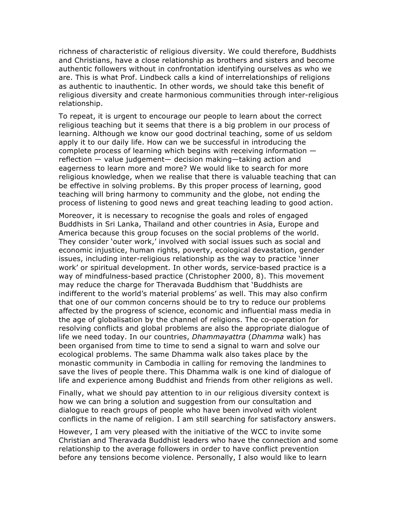richness of characteristic of religious diversity. We could therefore, Buddhists and Christians, have a close relationship as brothers and sisters and become authentic followers without in confrontation identifying ourselves as who we are. This is what Prof. Lindbeck calls a kind of interrelationships of religions as authentic to inauthentic. In other words, we should take this benefit of religious diversity and create harmonious communities through inter-religious relationship.

To repeat, it is urgent to encourage our people to learn about the correct religious teaching but it seems that there is a big problem in our process of learning. Although we know our good doctrinal teaching, some of us seldom apply it to our daily life. How can we be successful in introducing the complete process of learning which begins with receiving information reflection — value judgement— decision making—taking action and eagerness to learn more and more? We would like to search for more religious knowledge, when we realise that there is valuable teaching that can be effective in solving problems. By this proper process of learning, good teaching will bring harmony to community and the globe, not ending the process of listening to good news and great teaching leading to good action.

Moreover, it is necessary to recognise the goals and roles of engaged Buddhists in Sri Lanka, Thailand and other countries in Asia, Europe and America because this group focuses on the social problems of the world. They consider 'outer work,' involved with social issues such as social and economic injustice, human rights, poverty, ecological devastation, gender issues, including inter-religious relationship as the way to practice 'inner work' or spiritual development. In other words, service-based practice is a way of mindfulness-based practice (Christopher 2000, 8). This movement may reduce the charge for Theravada Buddhism that 'Buddhists are indifferent to the world's material problems' as well. This may also confirm that one of our common concerns should be to try to reduce our problems affected by the progress of science, economic and influential mass media in the age of globalisation by the channel of religions. The co-operation for resolving conflicts and global problems are also the appropriate dialogue of life we need today. In our countries, *Dhammayattra* (*Dhamma* walk) has been organised from time to time to send a signal to warn and solve our ecological problems. The same Dhamma walk also takes place by the monastic community in Cambodia in calling for removing the landmines to save the lives of people there. This Dhamma walk is one kind of dialogue of life and experience among Buddhist and friends from other religions as well.

Finally, what we should pay attention to in our religious diversity context is how we can bring a solution and suggestion from our consultation and dialogue to reach groups of people who have been involved with violent conflicts in the name of religion. I am still searching for satisfactory answers.

However, I am very pleased with the initiative of the WCC to invite some Christian and Theravada Buddhist leaders who have the connection and some relationship to the average followers in order to have conflict prevention before any tensions become violence. Personally, I also would like to learn